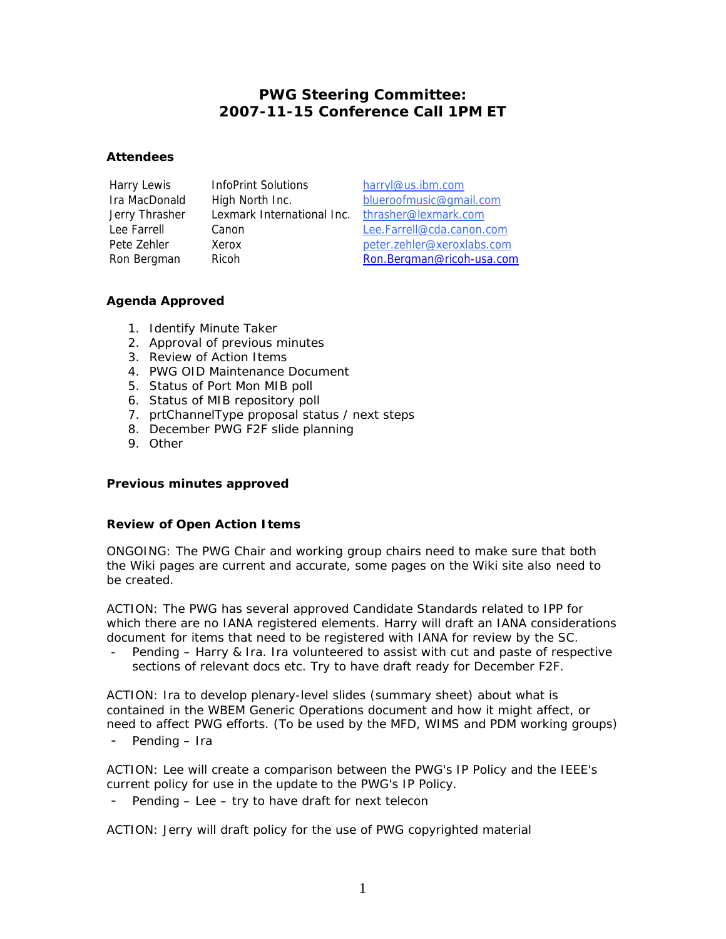# **PWG Steering Committee: 2007-11-15 Conference Call 1PM ET**

#### **Attendees**

Harry Lewis InfoPrint Solutions harryl@us.ibm.com Jerry Thrasher Lexmark International Inc. thrasher@lexmark.com

Ira MacDonald High North Inc. blueroofmusic@gmail.com Lee Farrell Canon Lee.Farrell@cda.canon.com Pete Zehler Xerox Manual Christene and Deter.zehler@xeroxlabs.com Ron Bergman Ricoh Ron.Bergman@ricoh-usa.com

## **Agenda Approved**

- 1. Identify Minute Taker
- 2. Approval of previous minutes
- 3. Review of Action Items
- 4. PWG OID Maintenance Document
- 5. Status of Port Mon MIB poll
- 6. Status of MIB repository poll
- 7. prtChannelType proposal status / next steps
- 8. December PWG F2F slide planning
- 9. Other

## **Previous minutes approved**

## **Review of Open Action Items**

ONGOING: The PWG Chair and working group chairs need to make sure that both the Wiki pages are current and accurate, some pages on the Wiki site also need to be created.

ACTION: The PWG has several approved Candidate Standards related to IPP for which there are no IANA registered elements. Harry will draft an IANA considerations document for items that need to be registered with IANA for review by the SC.

- *Pending – Harry & Ira. Ira volunteered to assist with cut and paste of respective sections of relevant docs etc. Try to have draft ready for December F2F.* 

ACTION: Ira to develop plenary-level slides (summary sheet) about what is contained in the WBEM Generic Operations document and how it might affect, or need to affect PWG efforts. (To be used by the MFD, WIMS and PDM working groups)

- *Pending – Ira*

ACTION: Lee will create a comparison between the PWG's IP Policy and the IEEE's current policy for use in the update to the PWG's IP Policy.

- *Pending – Lee – try to have draft for next telecon*

ACTION: Jerry will draft policy for the use of PWG copyrighted material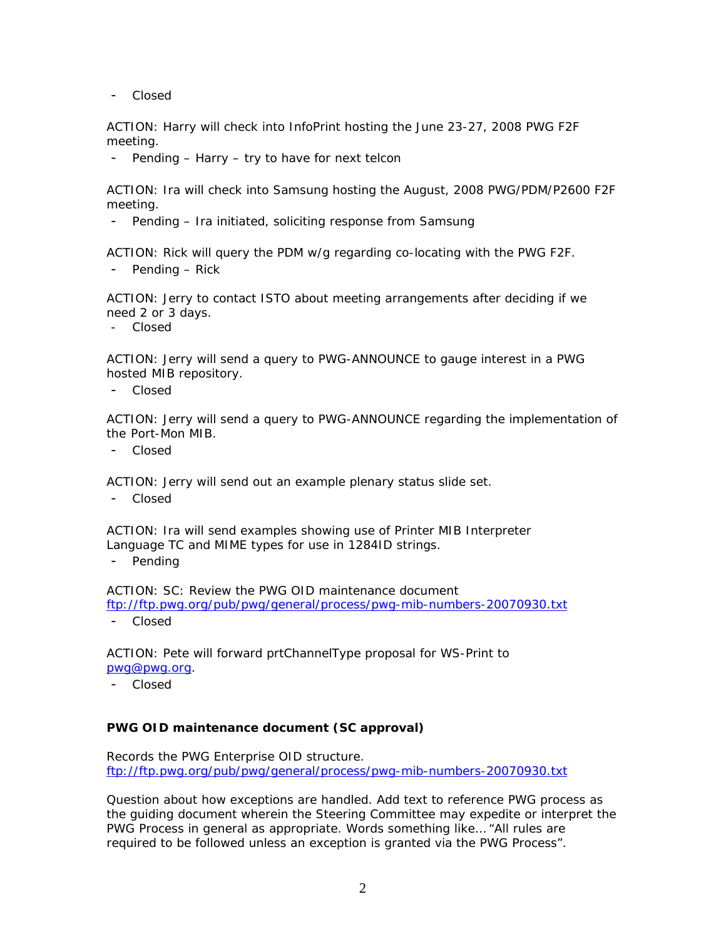- *Closed* 

ACTION: Harry will check into InfoPrint hosting the June 23-27, 2008 PWG F2F meeting.

- *Pending – Harry – try to have for next telcon*

ACTION: Ira will check into Samsung hosting the August, 2008 PWG/PDM/P2600 F2F meeting.

- *Pending – Ira initiated, soliciting response from Samsung*

ACTION: Rick will query the PDM w/g regarding co-locating with the PWG F2F.

- *Pending – Rick*

ACTION: Jerry to contact ISTO about meeting arrangements after deciding if we need 2 or 3 days.

- *Closed* 

ACTION: Jerry will send a query to PWG-ANNOUNCE to gauge interest in a PWG hosted MIB repository.

- *Closed*

ACTION: Jerry will send a query to PWG-ANNOUNCE regarding the implementation of the Port-Mon MIB.

- *Closed*

ACTION: Jerry will send out an example plenary status slide set.

- *Closed*

ACTION: Ira will send examples showing use of Printer MIB Interpreter Language TC and MIME types for use in 1284ID strings.

- *Pending*

ACTION: SC: Review the PWG OID maintenance document

<ftp://ftp.pwg.org/pub/pwg/general/process/pwg-mib-numbers-20070930.txt>

- *Closed*

ACTION: Pete will forward prtChannelType proposal for WS-Print to [pwg@pwg.org.](mailto:pwg@pwg.org)

- *Closed*

#### **PWG OID maintenance document (SC approval)**

Records the PWG Enterprise OID structure. <ftp://ftp.pwg.org/pub/pwg/general/process/pwg-mib-numbers-20070930.txt>

Question about how exceptions are handled. Add text to reference PWG process as the guiding document wherein the Steering Committee may expedite or interpret the PWG Process in general as appropriate. Words something like… "All rules are required to be followed unless an exception is granted via the PWG Process".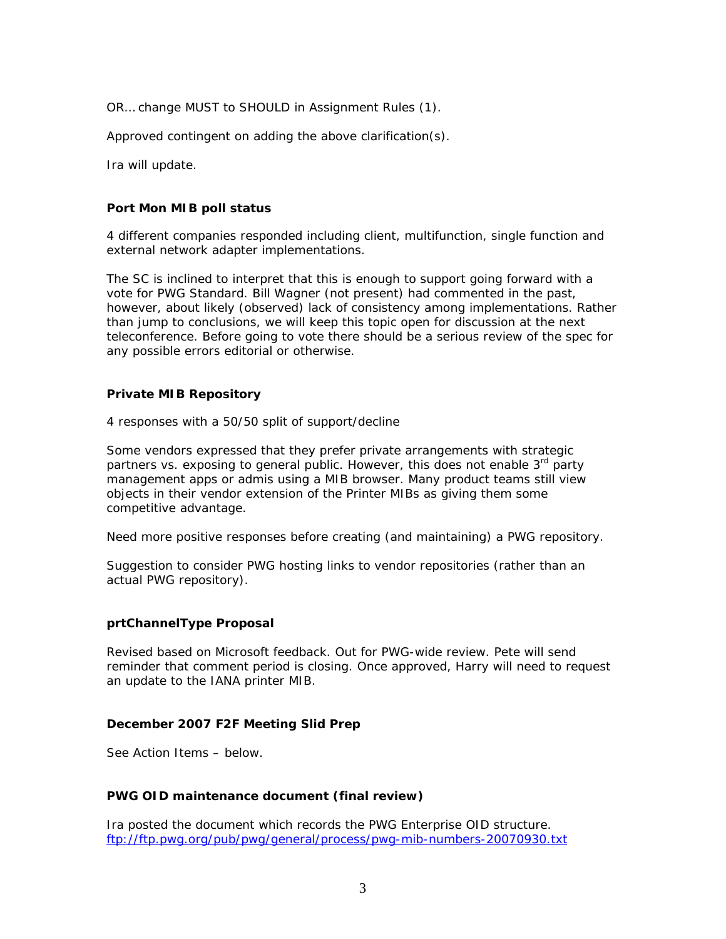OR… change MUST to SHOULD in Assignment Rules (1).

Approved contingent on adding the above clarification(s).

Ira will update.

#### **Port Mon MIB poll status**

4 different companies responded including client, multifunction, single function and external network adapter implementations.

The SC is inclined to interpret that this is enough to support going forward with a vote for PWG Standard. Bill Wagner (not present) had commented in the past, however, about likely (observed) lack of consistency among implementations. Rather than jump to conclusions, we will keep this topic open for discussion at the next teleconference. Before going to vote there should be a serious review of the spec for any possible errors editorial or otherwise.

#### **Private MIB Repository**

4 responses with a 50/50 split of support/decline

Some vendors expressed that they prefer private arrangements with strategic partners vs. exposing to general public. However, this does not enable 3<sup>rd</sup> party management apps or admis using a MIB browser. Many product teams still view objects in their vendor extension of the Printer MIBs as giving them some competitive advantage.

Need more positive responses before creating (and maintaining) a PWG repository.

Suggestion to consider PWG hosting links to vendor repositories (rather than an actual PWG repository).

#### **prtChannelType Proposal**

Revised based on Microsoft feedback. Out for PWG-wide review. Pete will send reminder that comment period is closing. Once approved, Harry will need to request an update to the IANA printer MIB.

#### **December 2007 F2F Meeting Slid Prep**

See Action Items – below.

#### **PWG OID maintenance document (final review)**

Ira posted the document which records the PWG Enterprise OID structure. <ftp://ftp.pwg.org/pub/pwg/general/process/pwg-mib-numbers-20070930.txt>